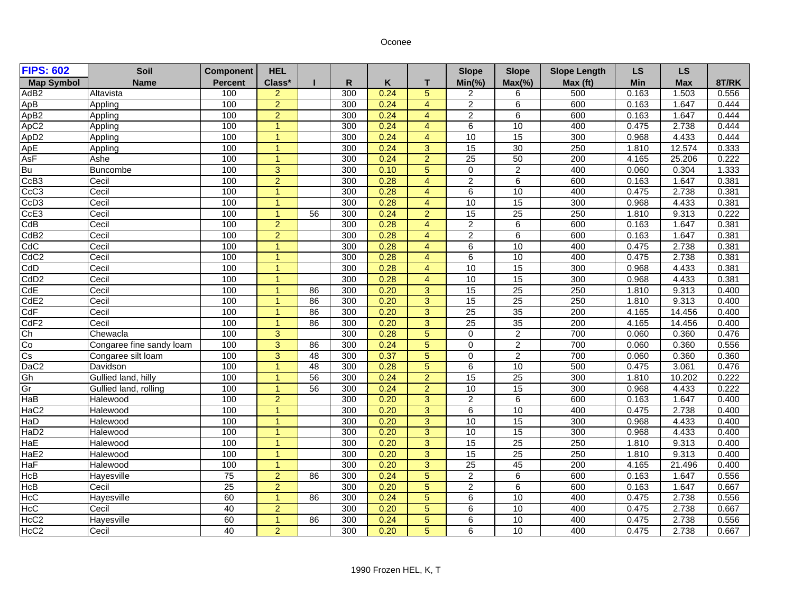## Oconee

| <b>FIPS: 602</b>         | Soil                     | <b>Component</b> | <b>HEL</b>           |                 |                  |      |                | <b>Slope</b>    | <b>Slope</b>    | <b>Slope Length</b> | <b>LS</b>  | <b>LS</b>  |       |
|--------------------------|--------------------------|------------------|----------------------|-----------------|------------------|------|----------------|-----------------|-----------------|---------------------|------------|------------|-------|
| <b>Map Symbol</b>        | <b>Name</b>              | <b>Percent</b>   | Class*               |                 | R                | Κ    | T              | $Min(\% )$      | $Max(\% )$      | Max (ft)            | <b>Min</b> | <b>Max</b> | 8T/RK |
| AdB <sub>2</sub>         | Altavista                | 100              | $\overline{2}$       |                 | $\overline{300}$ | 0.24 | $\overline{5}$ | $\overline{c}$  | 6               | 500                 | 0.163      | 1.503      | 0.556 |
| ApB                      | Appling                  | 100              | $\overline{2}$       |                 | 300              | 0.24 | $\overline{4}$ | $\overline{2}$  | 6               | 600                 | 0.163      | 1.647      | 0.444 |
| ApB2                     | Appling                  | 100              | $\overline{2}$       |                 | 300              | 0.24 | $\overline{4}$ | $\overline{2}$  | 6               | 600                 | 0.163      | 1.647      | 0.444 |
| ApC <sub>2</sub>         | Appling                  | 100              | $\overline{1}$       |                 | 300              | 0.24 | $\overline{4}$ | $6\overline{6}$ | 10              | 400                 | 0.475      | 2.738      | 0.444 |
| Ap <sub>D2</sub>         | Appling                  | 100              | $\overline{1}$       |                 | 300              | 0.24 | $\overline{4}$ | 10              | 15              | 300                 | 0.968      | 4.433      | 0.444 |
| ApE                      | Appling                  | 100              | $\overline{1}$       |                 | 300              | 0.24 | 3              | 15              | 30              | 250                 | 1.810      | 12.574     | 0.333 |
| AsF                      | Ashe                     | 100              | $\mathbf{1}$         |                 | 300              | 0.24 | $\overline{2}$ | $\overline{25}$ | 50              | 200                 | 4.165      | 25.206     | 0.222 |
| Bu                       | Buncombe                 | 100              | $\overline{3}$       |                 | 300              | 0.10 | $\overline{5}$ | $\overline{0}$  | $\overline{2}$  | 400                 | 0.060      | 0.304      | 1.333 |
| CcB <sub>3</sub>         | Cecil                    | 100              | $\overline{2}$       |                 | 300              | 0.28 | $\overline{4}$ | $\overline{2}$  | 6               | 600                 | 0.163      | 1.647      | 0.381 |
| CcC <sub>3</sub>         | Cecil                    | 100              | $\blacktriangleleft$ |                 | 300              | 0.28 | 4              | 6               | 10              | 400                 | 0.475      | 2.738      | 0.381 |
| CcD3                     | Cecil                    | 100              | $\overline{1}$       |                 | 300              | 0.28 | $\overline{4}$ | 10              | 15              | 300                 | 0.968      | 4.433      | 0.381 |
| CcE3                     | Cecil                    | 100              | $\overline{1}$       | 56              | 300              | 0.24 | $\overline{2}$ | 15              | 25              | 250                 | 1.810      | 9.313      | 0.222 |
| CdB                      | Cecil                    | 100              | $\overline{2}$       |                 | 300              | 0.28 | $\overline{4}$ | $\overline{2}$  | $6\overline{6}$ | 600                 | 0.163      | 1.647      | 0.381 |
| CdB <sub>2</sub>         | Cecil                    | 100              | $\overline{2}$       |                 | 300              | 0.28 | $\overline{4}$ | $\overline{2}$  | 6               | 600                 | 0.163      | 1.647      | 0.381 |
| <b>CdC</b>               | Cecil                    | 100              | $\overline{1}$       |                 | 300              | 0.28 | 4              | $6 \overline{}$ | 10              | 400                 | 0.475      | 2.738      | 0.381 |
| CdC <sub>2</sub>         | Cecil                    | 100              | $\overline{1}$       |                 | 300              | 0.28 | $\overline{4}$ | $\overline{6}$  | 10              | 400                 | 0.475      | 2.738      | 0.381 |
| <b>CdD</b>               | Cecil                    | 100              | $\overline{1}$       |                 | 300              | 0.28 | 4              | 10              | 15              | 300                 | 0.968      | 4.433      | 0.381 |
| CdD <sub>2</sub>         | Cecil                    | 100              | $\overline{1}$       |                 | 300              | 0.28 | $\overline{4}$ | 10              | 15              | 300                 | 0.968      | 4.433      | 0.381 |
| CdE                      | Cecil                    | 100              | $\blacktriangleleft$ | 86              | 300              | 0.20 | 3              | 15              | 25              | 250                 | 1.810      | 9.313      | 0.400 |
| CdE2                     | Cecil                    | 100              | $\mathbf{1}$         | 86              | 300              | 0.20 | $\overline{3}$ | 15              | 25              | 250                 | 1.810      | 9.313      | 0.400 |
| CdF                      | Cecil                    | 100              | $\blacktriangleleft$ | 86              | 300              | 0.20 | 3              | 25              | 35              | 200                 | 4.165      | 14.456     | 0.400 |
| CdF2                     | Cecil                    | 100              | $\overline{1}$       | 86              | 300              | 0.20 | $\overline{3}$ | 25              | 35              | 200                 | 4.165      | 14.456     | 0.400 |
| Ch                       | Chewacla                 | 100              | 3                    |                 | 300              | 0.28 | $\overline{5}$ | $\Omega$        | $\overline{2}$  | 700                 | 0.060      | 0.360      | 0.476 |
| Co                       | Congaree fine sandy loam | 100              | 3                    | 86              | 300              | 0.24 | 5              | 0               | $\overline{c}$  | 700                 | 0.060      | 0.360      | 0.556 |
| $\overline{\mathsf{Cs}}$ | Congaree silt loam       | 100              | $\overline{3}$       | 48              | 300              | 0.37 | $\overline{5}$ | $\overline{0}$  | $\overline{2}$  | 700                 | 0.060      | 0.360      | 0.360 |
| DaC <sub>2</sub>         | Davidson                 | 100              | $\overline{1}$       | 48              | 300              | 0.28 | $\overline{5}$ | $\overline{6}$  | 10              | 500                 | 0.475      | 3.061      | 0.476 |
| Gh                       | Gullied land, hilly      | 100              | $\mathbf{1}$         | 56              | 300              | 0.24 | $\overline{2}$ | 15              | 25              | 300                 | 1.810      | 10.202     | 0.222 |
| Gr                       | Gullied land, rolling    | 100              | $\blacktriangleleft$ | $\overline{56}$ | 300              | 0.24 | $\overline{2}$ | 10              | 15              | 300                 | 0.968      | 4.433      | 0.222 |
| HaB                      | Halewood                 | 100              | $\overline{2}$       |                 | 300              | 0.20 | $\overline{3}$ | $\overline{2}$  | 6               | 600                 | 0.163      | 1.647      | 0.400 |
| HaC <sub>2</sub>         | Halewood                 | 100              | $\blacktriangleleft$ |                 | 300              | 0.20 | $\overline{3}$ | $\overline{6}$  | 10              | 400                 | 0.475      | 2.738      | 0.400 |
| HaD                      | Halewood                 | 100              | $\overline{1}$       |                 | 300              | 0.20 | $\overline{3}$ | 10              | 15              | 300                 | 0.968      | 4.433      | 0.400 |
| HaD <sub>2</sub>         | Halewood                 | 100              | $\blacktriangleleft$ |                 | 300              | 0.20 | 3              | 10              | 15              | 300                 | 0.968      | 4.433      | 0.400 |
| HaE                      | Halewood                 | 100              | $\overline{1}$       |                 | 300              | 0.20 | $\overline{3}$ | 15              | 25              | 250                 | 1.810      | 9.313      | 0.400 |
| HaE2                     | <b>Halewood</b>          | 100              | $\mathbf{1}$         |                 | 300              | 0.20 | $\overline{3}$ | 15              | 25              | 250                 | 1.810      | 9.313      | 0.400 |
| HaF                      | Halewood                 | 100              | $\overline{1}$       |                 | 300              | 0.20 | 3              | 25              | 45              | 200                 | 4.165      | 21.496     | 0.400 |
| HcB                      | Hayesville               | 75               | $\overline{2}$       | 86              | 300              | 0.24 | $\overline{5}$ | $\overline{2}$  | 6               | 600                 | 0.163      | 1.647      | 0.556 |
| <b>HcB</b>               | Cecil                    | 25               | $\overline{2}$       |                 | 300              | 0.20 | $\overline{5}$ | $\overline{2}$  | $\overline{6}$  | 600                 | 0.163      | 1.647      | 0.667 |
| Ю                        | Hayesville               | 60               | $\mathbf{1}$         | 86              | 300              | 0.24 | $\overline{5}$ | $6 \overline{}$ | 10              | 400                 | 0.475      | 2.738      | 0.556 |
| <b>HcC</b>               | Cecil                    | 40               | $\overline{2}$       |                 | 300              | 0.20 | $\overline{5}$ | $6 \overline{}$ | 10              | 400                 | 0.475      | 2.738      | 0.667 |
| HcC <sub>2</sub>         | Hayesville               | 60               | $\overline{1}$       | 86              | 300              | 0.24 | $\overline{5}$ | $6\overline{6}$ | 10              | 400                 | 0.475      | 2.738      | 0.556 |
| HcC <sub>2</sub>         | Cecil                    | 40               | $\overline{2}$       |                 | 300              | 0.20 | 5              | 6               | 10              | 400                 | 0.475      | 2.738      | 0.667 |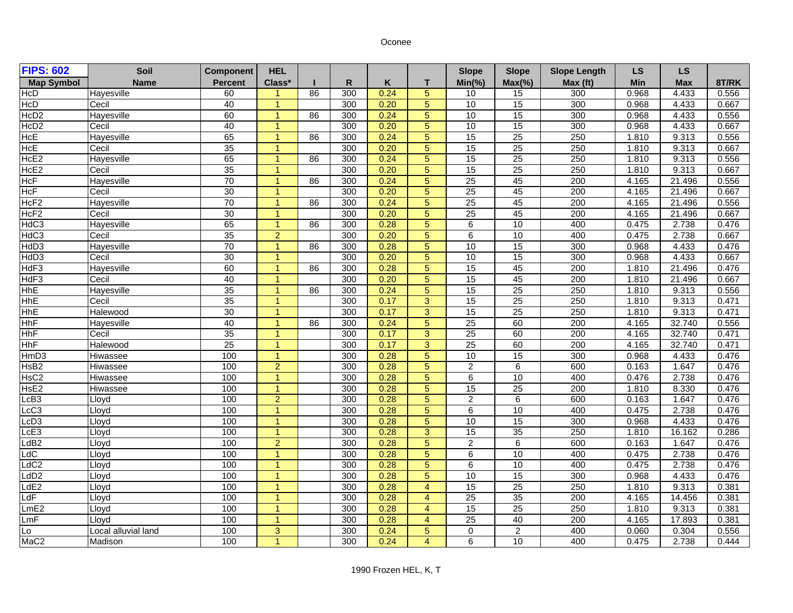## Oconee

| <b>FIPS: 602</b>  | Soil                | <b>Component</b> | <b>HEL</b>           |    |     |      |                | <b>Slope</b>    | <b>Slope</b>    | <b>Slope Length</b> | <b>LS</b>  | <b>LS</b>  |       |
|-------------------|---------------------|------------------|----------------------|----|-----|------|----------------|-----------------|-----------------|---------------------|------------|------------|-------|
| <b>Map Symbol</b> | <b>Name</b>         | <b>Percent</b>   | Class*               |    | R   | Κ    | T.             | $Min(\% )$      | $Max(\% )$      | Max (ft)            | <b>Min</b> | <b>Max</b> | 8T/RK |
| HcD               | Hayesville          | 60               | $\blacktriangleleft$ | 86 | 300 | 0.24 | $\overline{5}$ | 10              | 15              | 300                 | 0.968      | 4.433      | 0.556 |
| HcD               | Cecil               | 40               | $\overline{1}$       |    | 300 | 0.20 | $\overline{5}$ | 10              | 15              | 300                 | 0.968      | 4.433      | 0.667 |
| HcD <sub>2</sub>  | Hayesville          | 60               | $\overline{1}$       | 86 | 300 | 0.24 | $\overline{5}$ | 10              | 15              | 300                 | 0.968      | 4.433      | 0.556 |
| HcD <sub>2</sub>  | Cecil               | 40               | $\overline{1}$       |    | 300 | 0.20 | $\overline{5}$ | 10              | 15              | 300                 | 0.968      | 4.433      | 0.667 |
| HcE               | <b>Hayesville</b>   | 65               | $\mathbf{1}$         | 86 | 300 | 0.24 | $\overline{5}$ | 15              | 25              | 250                 | 1.810      | 9.313      | 0.556 |
| <b>HcE</b>        | Cecil               | 35               | $\overline{1}$       |    | 300 | 0.20 | $\overline{5}$ | 15              | 25              | 250                 | 1.810      | 9.313      | 0.667 |
| HcE <sub>2</sub>  | Hayesville          | 65               | $\overline{1}$       | 86 | 300 | 0.24 | $\overline{5}$ | 15              | 25              | 250                 | 1.810      | 9.313      | 0.556 |
| HcE <sub>2</sub>  | Cecil               | 35               | $\overline{1}$       |    | 300 | 0.20 | $\overline{5}$ | 15              | 25              | 250                 | 1.810      | 9.313      | 0.667 |
| <b>HcF</b>        | Hayesville          | 70               | $\overline{1}$       | 86 | 300 | 0.24 | $\overline{5}$ | 25              | 45              | 200                 | 4.165      | 21.496     | 0.556 |
| <b>HcF</b>        | Cecil               | 30               | $\overline{1}$       |    | 300 | 0.20 | $\overline{5}$ | 25              | 45              | 200                 | 4.165      | 21.496     | 0.667 |
| HcF <sub>2</sub>  | Hayesville          | 70               | $\overline{1}$       | 86 | 300 | 0.24 | $\overline{5}$ | 25              | 45              | 200                 | 4.165      | 21.496     | 0.556 |
| HcF <sub>2</sub>  | Cecil               | 30               | $\overline{1}$       |    | 300 | 0.20 | $\overline{5}$ | 25              | 45              | $\overline{200}$    | 4.165      | 21.496     | 0.667 |
| HdC3              | <b>Hayesville</b>   | 65               | $\overline{1}$       | 86 | 300 | 0.28 | $\overline{5}$ | 6               | 10              | 400                 | 0.475      | 2.738      | 0.476 |
| HdC3              | Cecil               | 35               | $\overline{2}$       |    | 300 | 0.20 | $\overline{5}$ | $\overline{6}$  | 10              | 400                 | 0.475      | 2.738      | 0.667 |
| HdD3              | Hayesville          | $\overline{70}$  | $\overline{1}$       | 86 | 300 | 0.28 | $\overline{5}$ | 10              | 15              | 300                 | 0.968      | 4.433      | 0.476 |
| HdD3              | Cecil               | 30               | $\overline{1}$       |    | 300 | 0.20 | $\overline{5}$ | 10              | 15              | 300                 | 0.968      | 4.433      | 0.667 |
| HdF3              | Hayesville          | 60               | $\overline{1}$       | 86 | 300 | 0.28 | $\overline{5}$ | 15              | 45              | 200                 | 1.810      | 21.496     | 0.476 |
| HdF3              | Cecil               | 40               | $\overline{1}$       |    | 300 | 0.20 | 5              | 15              | 45              | 200                 | 1.810      | 21.496     | 0.667 |
| <b>HhE</b>        | <b>Hayesville</b>   | 35               | $\overline{1}$       | 86 | 300 | 0.24 | $\overline{5}$ | 15              | 25              | 250                 | 1.810      | 9.313      | 0.556 |
| <b>HhE</b>        | Cecil               | 35               | $\overline{1}$       |    | 300 | 0.17 | $\overline{3}$ | 15              | $\overline{25}$ | 250                 | 1.810      | 9.313      | 0.471 |
| <b>HhE</b>        | Halewood            | 30               | $\overline{1}$       |    | 300 | 0.17 | $\overline{3}$ | 15              | 25              | 250                 | 1.810      | 9.313      | 0.471 |
| <b>HhF</b>        | Hayesville          | 40               | $\overline{1}$       | 86 | 300 | 0.24 | $\overline{5}$ | 25              | 60              | 200                 | 4.165      | 32.740     | 0.556 |
| <b>HhF</b>        | Cecil               | 35               | $\overline{1}$       |    | 300 | 0.17 | $\overline{3}$ | $\overline{25}$ | 60              | 200                 | 4.165      | 32.740     | 0.471 |
| <b>HhF</b>        | Halewood            | 25               | $\mathbf{1}$         |    | 300 | 0.17 | $\overline{3}$ | 25              | 60              | 200                 | 4.165      | 32.740     | 0.471 |
| HmD <sub>3</sub>  | Hiwassee            | 100              | $\overline{1}$       |    | 300 | 0.28 | $\overline{5}$ | 10              | 15              | 300                 | 0.968      | 4.433      | 0.476 |
| HsB <sub>2</sub>  | <b>Hiwassee</b>     | 100              | $\overline{2}$       |    | 300 | 0.28 | $\overline{5}$ | $\overline{2}$  | 6               | 600                 | 0.163      | 1.647      | 0.476 |
| HsC <sub>2</sub>  | Hiwassee            | 100              | $\overline{1}$       |    | 300 | 0.28 | $\overline{5}$ | $6\overline{6}$ | 10              | 400                 | 0.476      | 2.738      | 0.476 |
| HsE <sub>2</sub>  | Hiwassee            | 100              | $\overline{1}$       |    | 300 | 0.28 | $\overline{5}$ | $\overline{15}$ | 25              | 200                 | 1.810      | 8.330      | 0.476 |
| LcB3              | Lloyd               | 100              | $\overline{2}$       |    | 300 | 0.28 | $\overline{5}$ | $\overline{2}$  | $\overline{6}$  | 600                 | 0.163      | 1.647      | 0.476 |
| LcC3              | Lloyd               | 100              | $\overline{1}$       |    | 300 | 0.28 | $\overline{5}$ | $\overline{6}$  | 10              | 400                 | 0.475      | 2.738      | 0.476 |
| LcD3              | Lloyd               | 100              | $\overline{1}$       |    | 300 | 0.28 | $\overline{5}$ | 10              | 15              | 300                 | 0.968      | 4.433      | 0.476 |
| LcE3              | Lloyd               | 100              | $\overline{1}$       |    | 300 | 0.28 | $\overline{3}$ | 15              | 35              | 250                 | 1.810      | 16.162     | 0.286 |
| LdB2              | Lloyd               | 100              | $\overline{2}$       |    | 300 | 0.28 | $\overline{5}$ | $\overline{2}$  | 6               | 600                 | 0.163      | 1.647      | 0.476 |
| LdC               | Lloyd               | 100              | $\overline{1}$       |    | 300 | 0.28 | $\overline{5}$ | $\overline{6}$  | 10              | 400                 | 0.475      | 2.738      | 0.476 |
| LdC2              | Lloyd               | 100              | $\overline{1}$       |    | 300 | 0.28 | $\overline{5}$ | $6\overline{6}$ | 10              | 400                 | 0.475      | 2.738      | 0.476 |
| LdD2              | Lloyd               | 100              | $\overline{1}$       |    | 300 | 0.28 | $\overline{5}$ | 10              | 15              | 300                 | 0.968      | 4.433      | 0.476 |
| LdE <sub>2</sub>  | Lloyd               | 100              | $\overline{1}$       |    | 300 | 0.28 | $\overline{4}$ | 15              | $\overline{25}$ | 250                 | 1.810      | 9.313      | 0.381 |
| LdF               | Lloyd               | 100              | $\overline{1}$       |    | 300 | 0.28 | $\overline{4}$ | $\overline{25}$ | 35              | 200                 | 4.165      | 14.456     | 0.381 |
| LmE2              | Lloyd               | 100              | $\overline{1}$       |    | 300 | 0.28 | $\overline{4}$ | 15              | $\overline{25}$ | 250                 | 1.810      | 9.313      | 0.381 |
| LmF               | Lloyd               | 100              | $\overline{1}$       |    | 300 | 0.28 | $\overline{4}$ | 25              | 40              | 200                 | 4.165      | 17.893     | 0.381 |
| Lo                | Local alluvial land | 100              | $\overline{3}$       |    | 300 | 0.24 | $\overline{5}$ | 0               | $\overline{2}$  | 400                 | 0.060      | 0.304      | 0.556 |
| MaC <sub>2</sub>  | Madison             | 100              | $\overline{1}$       |    | 300 | 0.24 | $\overline{4}$ | $\overline{6}$  | 10              | 400                 | 0.475      | 2.738      | 0.444 |